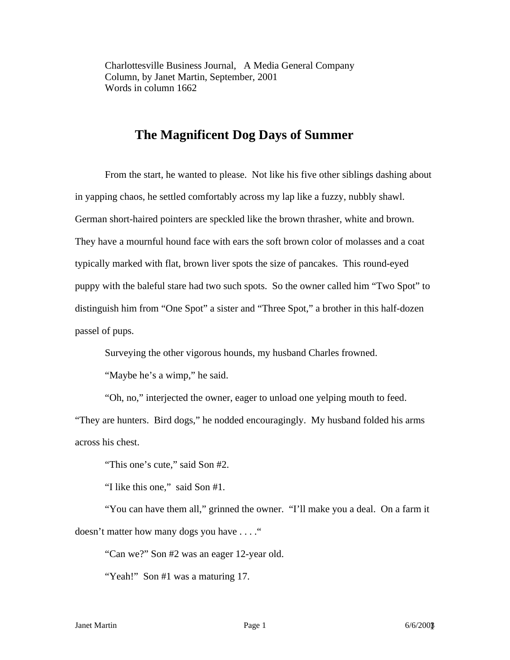Charlottesville Business Journal, A Media General Company Column, by Janet Martin, September, 2001 Words in column 1662

## **The Magnificent Dog Days of Summer**

From the start, he wanted to please. Not like his five other siblings dashing about in yapping chaos, he settled comfortably across my lap like a fuzzy, nubbly shawl. German short-haired pointers are speckled like the brown thrasher, white and brown. They have a mournful hound face with ears the soft brown color of molasses and a coat typically marked with flat, brown liver spots the size of pancakes. This round-eyed puppy with the baleful stare had two such spots. So the owner called him "Two Spot" to distinguish him from "One Spot" a sister and "Three Spot," a brother in this half-dozen passel of pups.

Surveying the other vigorous hounds, my husband Charles frowned.

"Maybe he's a wimp," he said.

"Oh, no," interjected the owner, eager to unload one yelping mouth to feed.

"They are hunters. Bird dogs," he nodded encouragingly. My husband folded his arms across his chest.

"This one's cute," said Son #2.

"I like this one," said Son #1.

 "You can have them all," grinned the owner. "I'll make you a deal. On a farm it doesn't matter how many dogs you have . . . ."

"Can we?" Son #2 was an eager 12-year old.

"Yeah!" Son #1 was a maturing 17.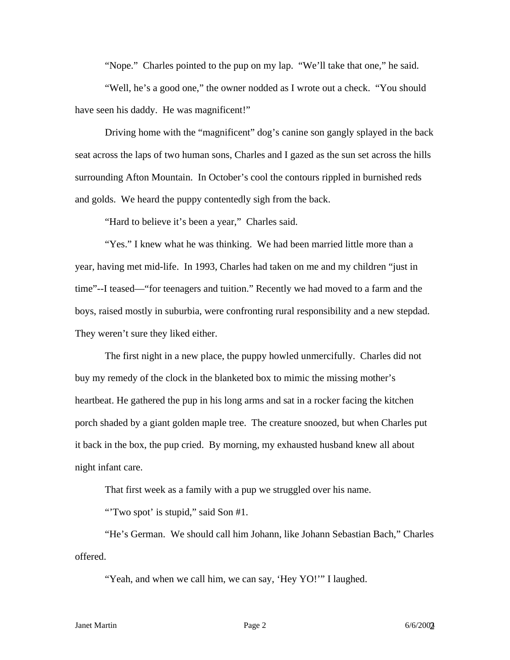"Nope." Charles pointed to the pup on my lap. "We'll take that one," he said.

 "Well, he's a good one," the owner nodded as I wrote out a check. "You should have seen his daddy. He was magnificent!"

 Driving home with the "magnificent" dog's canine son gangly splayed in the back seat across the laps of two human sons, Charles and I gazed as the sun set across the hills surrounding Afton Mountain. In October's cool the contours rippled in burnished reds and golds. We heard the puppy contentedly sigh from the back.

"Hard to believe it's been a year," Charles said.

"Yes." I knew what he was thinking. We had been married little more than a year, having met mid-life. In 1993, Charles had taken on me and my children "just in time"--I teased—"for teenagers and tuition." Recently we had moved to a farm and the boys, raised mostly in suburbia, were confronting rural responsibility and a new stepdad. They weren't sure they liked either.

 The first night in a new place, the puppy howled unmercifully. Charles did not buy my remedy of the clock in the blanketed box to mimic the missing mother's heartbeat. He gathered the pup in his long arms and sat in a rocker facing the kitchen porch shaded by a giant golden maple tree. The creature snoozed, but when Charles put it back in the box, the pup cried. By morning, my exhausted husband knew all about night infant care.

That first week as a family with a pup we struggled over his name.

"Two spot' is stupid," said Son #1.

"He's German. We should call him Johann, like Johann Sebastian Bach," Charles offered.

"Yeah, and when we call him, we can say, 'Hey YO!'" I laughed.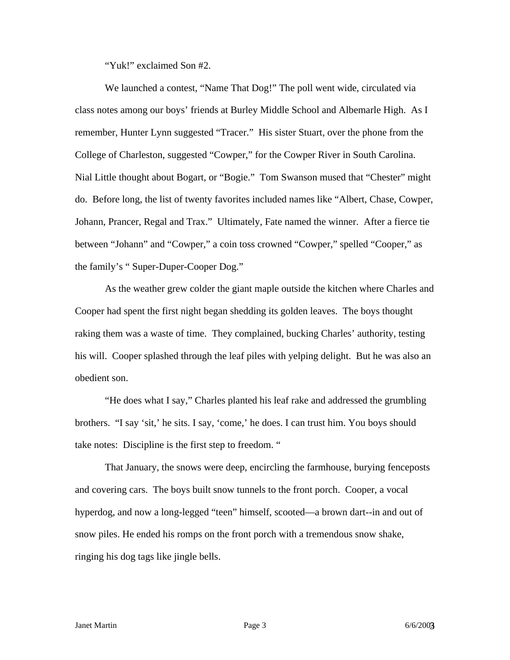"Yuk!" exclaimed Son #2.

We launched a contest, "Name That Dog!" The poll went wide, circulated via class notes among our boys' friends at Burley Middle School and Albemarle High. As I remember, Hunter Lynn suggested "Tracer." His sister Stuart, over the phone from the College of Charleston, suggested "Cowper," for the Cowper River in South Carolina. Nial Little thought about Bogart, or "Bogie." Tom Swanson mused that "Chester" might do. Before long, the list of twenty favorites included names like "Albert, Chase, Cowper, Johann, Prancer, Regal and Trax." Ultimately, Fate named the winner. After a fierce tie between "Johann" and "Cowper," a coin toss crowned "Cowper," spelled "Cooper," as the family's " Super-Duper-Cooper Dog."

As the weather grew colder the giant maple outside the kitchen where Charles and Cooper had spent the first night began shedding its golden leaves. The boys thought raking them was a waste of time. They complained, bucking Charles' authority, testing his will. Cooper splashed through the leaf piles with yelping delight. But he was also an obedient son.

"He does what I say," Charles planted his leaf rake and addressed the grumbling brothers. "I say 'sit,' he sits. I say, 'come,' he does. I can trust him. You boys should take notes: Discipline is the first step to freedom. "

That January, the snows were deep, encircling the farmhouse, burying fenceposts and covering cars. The boys built snow tunnels to the front porch. Cooper, a vocal hyperdog, and now a long-legged "teen" himself, scooted—a brown dart--in and out of snow piles. He ended his romps on the front porch with a tremendous snow shake, ringing his dog tags like jingle bells.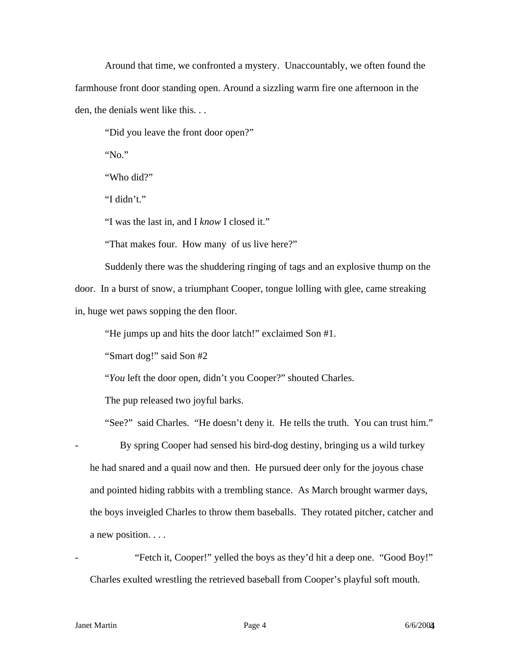Around that time, we confronted a mystery. Unaccountably, we often found the farmhouse front door standing open. Around a sizzling warm fire one afternoon in the den, the denials went like this. . .

"Did you leave the front door open?"

"No."

"Who did?"

"I didn't."

"I was the last in, and I *know* I closed it."

"That makes four. How many of us live here?"

Suddenly there was the shuddering ringing of tags and an explosive thump on the door. In a burst of snow, a triumphant Cooper, tongue lolling with glee, came streaking in, huge wet paws sopping the den floor.

"He jumps up and hits the door latch!" exclaimed Son #1.

"Smart dog!" said Son #2

"*You* left the door open, didn't you Cooper?" shouted Charles.

The pup released two joyful barks.

"See?" said Charles. "He doesn't deny it. He tells the truth. You can trust him."

By spring Cooper had sensed his bird-dog destiny, bringing us a wild turkey he had snared and a quail now and then. He pursued deer only for the joyous chase and pointed hiding rabbits with a trembling stance. As March brought warmer days, the boys inveigled Charles to throw them baseballs. They rotated pitcher, catcher and a new position. . . .

"Fetch it, Cooper!" yelled the boys as they'd hit a deep one. "Good Boy!" Charles exulted wrestling the retrieved baseball from Cooper's playful soft mouth.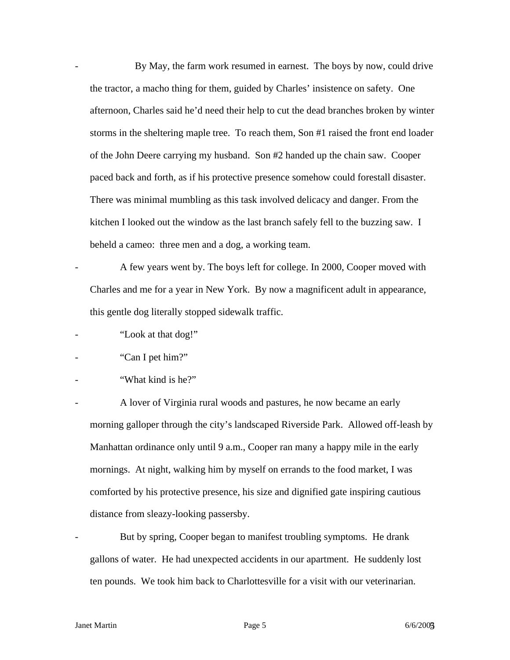By May, the farm work resumed in earnest. The boys by now, could drive the tractor, a macho thing for them, guided by Charles' insistence on safety. One afternoon, Charles said he'd need their help to cut the dead branches broken by winter storms in the sheltering maple tree. To reach them, Son #1 raised the front end loader of the John Deere carrying my husband. Son #2 handed up the chain saw. Cooper paced back and forth, as if his protective presence somehow could forestall disaster. There was minimal mumbling as this task involved delicacy and danger. From the kitchen I looked out the window as the last branch safely fell to the buzzing saw. I beheld a cameo: three men and a dog, a working team.

A few years went by. The boys left for college. In 2000, Cooper moved with Charles and me for a year in New York. By now a magnificent adult in appearance, this gentle dog literally stopped sidewalk traffic.

- "Look at that dog!"
- "Can I pet him?"
- "What kind is he?"

A lover of Virginia rural woods and pastures, he now became an early morning galloper through the city's landscaped Riverside Park. Allowed off-leash by Manhattan ordinance only until 9 a.m., Cooper ran many a happy mile in the early mornings. At night, walking him by myself on errands to the food market, I was comforted by his protective presence, his size and dignified gate inspiring cautious distance from sleazy-looking passersby.

But by spring, Cooper began to manifest troubling symptoms. He drank gallons of water. He had unexpected accidents in our apartment. He suddenly lost ten pounds. We took him back to Charlottesville for a visit with our veterinarian.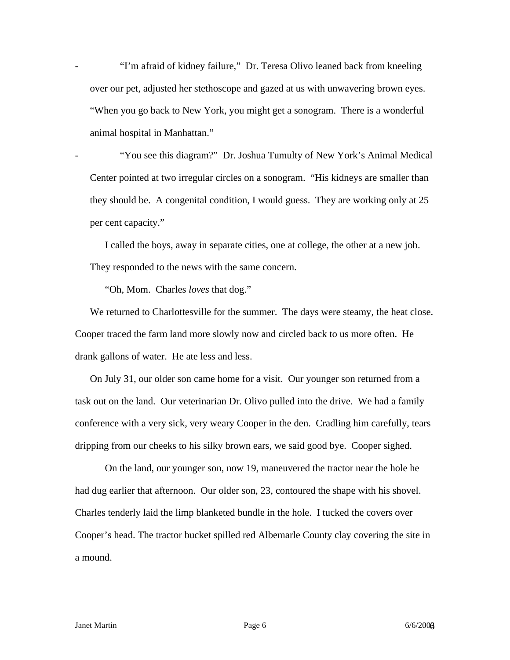"I'm afraid of kidney failure," Dr. Teresa Olivo leaned back from kneeling over our pet, adjusted her stethoscope and gazed at us with unwavering brown eyes. "When you go back to New York, you might get a sonogram. There is a wonderful animal hospital in Manhattan."

"You see this diagram?" Dr. Joshua Tumulty of New York's Animal Medical Center pointed at two irregular circles on a sonogram. "His kidneys are smaller than they should be. A congenital condition, I would guess. They are working only at 25 per cent capacity."

I called the boys, away in separate cities, one at college, the other at a new job. They responded to the news with the same concern.

"Oh, Mom. Charles *loves* that dog."

We returned to Charlottesville for the summer. The days were steamy, the heat close. Cooper traced the farm land more slowly now and circled back to us more often. He drank gallons of water. He ate less and less.

On July 31, our older son came home for a visit. Our younger son returned from a task out on the land. Our veterinarian Dr. Olivo pulled into the drive. We had a family conference with a very sick, very weary Cooper in the den. Cradling him carefully, tears dripping from our cheeks to his silky brown ears, we said good bye. Cooper sighed.

 On the land, our younger son, now 19, maneuvered the tractor near the hole he had dug earlier that afternoon. Our older son, 23, contoured the shape with his shovel. Charles tenderly laid the limp blanketed bundle in the hole. I tucked the covers over Cooper's head. The tractor bucket spilled red Albemarle County clay covering the site in a mound.